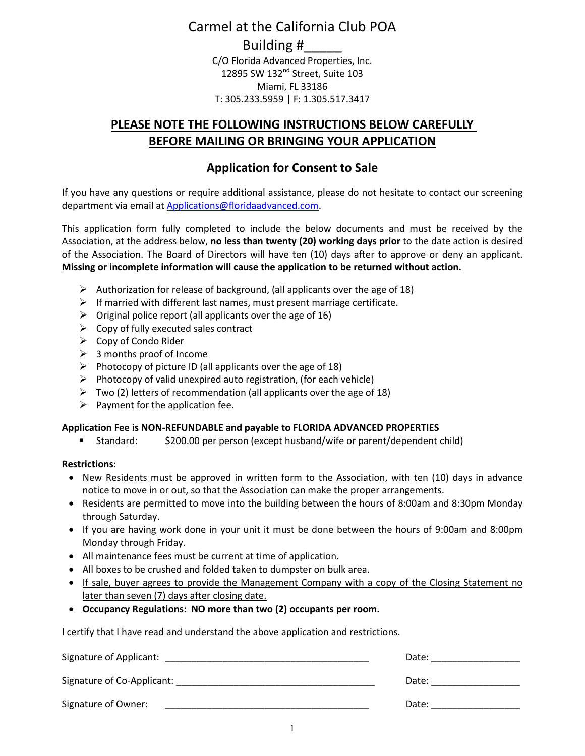# Carmel at the California Club POA

### Building #\_\_\_\_\_

C/O Florida Advanced Properties, Inc. 12895 SW 132<sup>nd</sup> Street, Suite 103 Miami, FL 33186 T: 305.233.5959 | F: 1.305.517.3417

## **PLEASE NOTE THE FOLLOWING INSTRUCTIONS BELOW CAREFULLY BEFORE MAILING OR BRINGING YOUR APPLICATION**

## **Application for Consent to Sale**

If you have any questions or require additional assistance, please do not hesitate to contact our screening department via email at Applications@floridaadvanced.com.

This application form fully completed to include the below documents and must be received by the Association, at the address below, **no less than twenty (20) working days prior** to the date action is desired of the Association. The Board of Directors will have ten (10) days after to approve or deny an applicant. **Missing or incomplete information will cause the application to be returned without action.**

- $\triangleright$  Authorization for release of background, (all applicants over the age of 18)
- $\triangleright$  If married with different last names, must present marriage certificate.
- $\triangleright$  Original police report (all applicants over the age of 16)
- $\triangleright$  Copy of fully executed sales contract
- $\triangleright$  Copy of Condo Rider
- $\geq$  3 months proof of Income
- $\triangleright$  Photocopy of picture ID (all applicants over the age of 18)
- $\triangleright$  Photocopy of valid unexpired auto registration, (for each vehicle)
- $\triangleright$  Two (2) letters of recommendation (all applicants over the age of 18)
- $\triangleright$  Payment for the application fee.

### **Application Fee is NON-REFUNDABLE and payable to FLORIDA ADVANCED PROPERTIES**

-Standard: \$200.00 per person (except husband/wife or parent/dependent child)

### **Restrictions**:

- New Residents must be approved in written form to the Association, with ten (10) days in advance notice to move in or out, so that the Association can make the proper arrangements.
- Residents are permitted to move into the building between the hours of 8:00am and 8:30pm Monday through Saturday.
- If you are having work done in your unit it must be done between the hours of 9:00am and 8:00pm Monday through Friday.
- All maintenance fees must be current at time of application.
- All boxes to be crushed and folded taken to dumpster on bulk area.
- If sale, buyer agrees to provide the Management Company with a copy of the Closing Statement no later than seven (7) days after closing date.
- **Occupancy Regulations: NO more than two (2) occupants per room.**

I certify that I have read and understand the above application and restrictions.

| Signature of Applicant:    | Date: |
|----------------------------|-------|
| Signature of Co-Applicant: | Date: |
| Signature of Owner:        | Date: |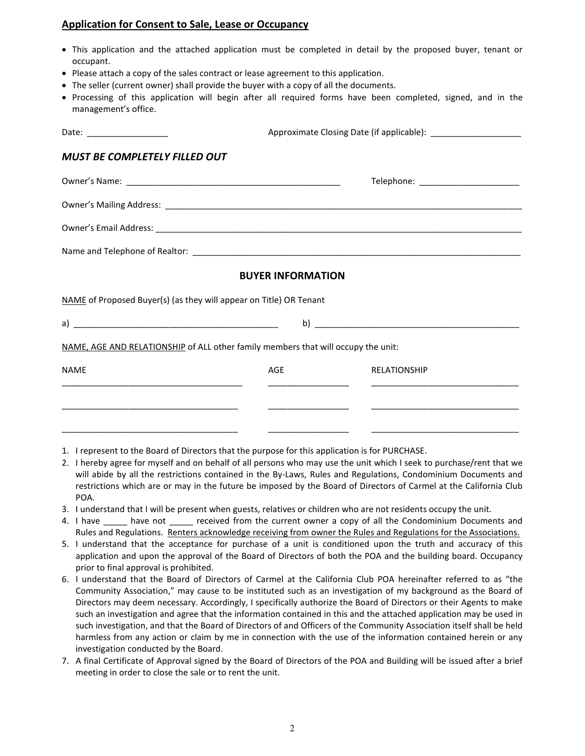### **Application for Consent to Sale, Lease or Occupancy**

- This application and the attached application must be completed in detail by the proposed buyer, tenant or occupant.
- Please attach a copy of the sales contract or lease agreement to this application.
- The seller (current owner) shall provide the buyer with a copy of all the documents.
- Processing of this application will begin after all required forms have been completed, signed, and in the management's office.

| Date: _____________________                                                       |     | Approximate Closing Date (if applicable): _________________________ |  |  |
|-----------------------------------------------------------------------------------|-----|---------------------------------------------------------------------|--|--|
| MUST BE COMPLETELY FILLED OUT                                                     |     |                                                                     |  |  |
|                                                                                   |     | Telephone: _________________________                                |  |  |
|                                                                                   |     |                                                                     |  |  |
|                                                                                   |     |                                                                     |  |  |
|                                                                                   |     |                                                                     |  |  |
| <b>BUYER INFORMATION</b>                                                          |     |                                                                     |  |  |
| NAME of Proposed Buyer(s) (as they will appear on Title) OR Tenant                |     |                                                                     |  |  |
|                                                                                   |     |                                                                     |  |  |
| NAME, AGE AND RELATIONSHIP of ALL other family members that will occupy the unit: |     |                                                                     |  |  |
| <b>NAME</b>                                                                       | AGE | <b>RELATIONSHIP</b>                                                 |  |  |
|                                                                                   |     |                                                                     |  |  |
|                                                                                   |     |                                                                     |  |  |
|                                                                                   |     |                                                                     |  |  |

- 1. I represent to the Board of Directors that the purpose for this application is for PURCHASE.
- 2. I hereby agree for myself and on behalf of all persons who may use the unit which I seek to purchase/rent that we will abide by all the restrictions contained in the By-Laws, Rules and Regulations, Condominium Documents and restrictions which are or may in the future be imposed by the Board of Directors of Carmel at the California Club POA.
- 3. I understand that I will be present when guests, relatives or children who are not residents occupy the unit.
- 4. I have Lave have not creceived from the current owner a copy of all the Condominium Documents and Rules and Regulations. Renters acknowledge receiving from owner the Rules and Regulations for the Associations.
- 5. I understand that the acceptance for purchase of a unit is conditioned upon the truth and accuracy of this application and upon the approval of the Board of Directors of both the POA and the building board. Occupancy prior to final approval is prohibited.
- 6. I understand that the Board of Directors of Carmel at the California Club POA hereinafter referred to as "the Community Association," may cause to be instituted such as an investigation of my background as the Board of Directors may deem necessary. Accordingly, I specifically authorize the Board of Directors or their Agents to make such an investigation and agree that the information contained in this and the attached application may be used in such investigation, and that the Board of Directors of and Officers of the Community Association itself shall be held harmless from any action or claim by me in connection with the use of the information contained herein or any investigation conducted by the Board.
- 7. A final Certificate of Approval signed by the Board of Directors of the POA and Building will be issued after a brief meeting in order to close the sale or to rent the unit.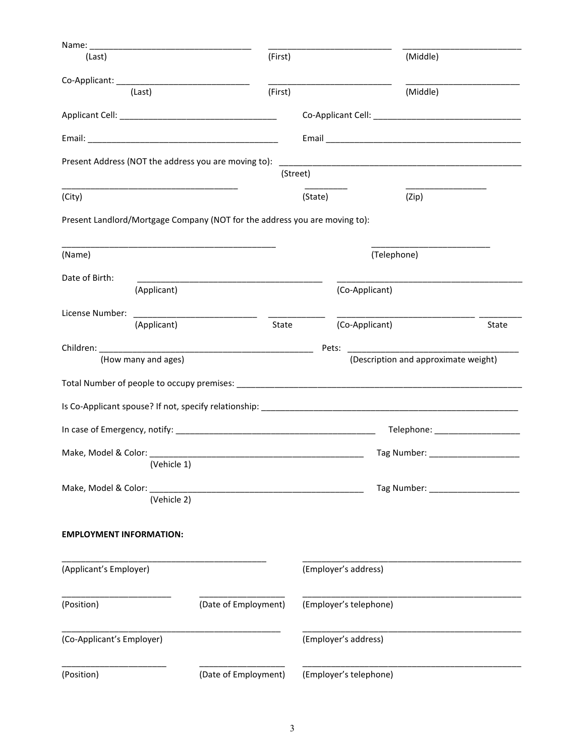| Name: $\_\_$                                                               |                      |                         |                                      |       |
|----------------------------------------------------------------------------|----------------------|-------------------------|--------------------------------------|-------|
| (Last)                                                                     | (First)              |                         | (Middle)                             |       |
| (Last)                                                                     | (First)              |                         | (Middle)                             |       |
|                                                                            |                      |                         |                                      |       |
|                                                                            |                      |                         |                                      |       |
|                                                                            |                      |                         |                                      |       |
| Present Address (NOT the address you are moving to):                       |                      |                         |                                      |       |
|                                                                            |                      | (Street)                |                                      |       |
| (City)                                                                     |                      | (State)                 | (Zip)                                |       |
| Present Landlord/Mortgage Company (NOT for the address you are moving to): |                      |                         |                                      |       |
| (Name)                                                                     |                      |                         | (Telephone)                          |       |
| Date of Birth:                                                             |                      |                         |                                      |       |
| (Applicant)                                                                |                      | (Co-Applicant)          |                                      |       |
| License Number:<br>(Applicant)                                             |                      | (Co-Applicant)<br>State |                                      | State |
|                                                                            |                      |                         |                                      |       |
| (How many and ages)                                                        |                      | Pets:                   | (Description and approximate weight) |       |
|                                                                            |                      |                         |                                      |       |
|                                                                            |                      |                         |                                      |       |
|                                                                            |                      |                         |                                      |       |
|                                                                            |                      |                         | Telephone: _____________________     |       |
|                                                                            |                      |                         | Tag Number: _____________________    |       |
| (Vehicle 1)                                                                |                      |                         |                                      |       |
| Make, Model & Color:                                                       |                      |                         | Tag Number: __________               |       |
| (Vehicle 2)                                                                |                      |                         |                                      |       |
| <b>EMPLOYMENT INFORMATION:</b>                                             |                      |                         |                                      |       |
| (Applicant's Employer)                                                     |                      | (Employer's address)    |                                      |       |
| (Position)                                                                 | (Date of Employment) | (Employer's telephone)  |                                      |       |
| (Co-Applicant's Employer)                                                  |                      | (Employer's address)    |                                      |       |
|                                                                            |                      |                         |                                      |       |
| (Position)                                                                 | (Date of Employment) | (Employer's telephone)  |                                      |       |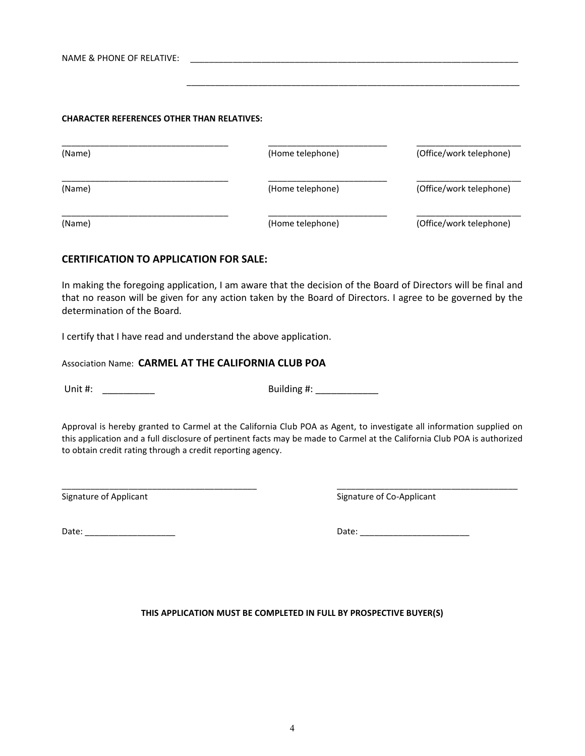NAME & PHONE OF RELATIVE:

#### **CHARACTER REFERENCES OTHER THAN RELATIVES:**

| (Name) | (Home telephone) | (Office/work telephone) |
|--------|------------------|-------------------------|
| (Name) | (Home telephone) | (Office/work telephone) |
| (Name) | (Home telephone) | (Office/work telephone) |

 $\mathcal{L} = \{ \mathcal{L} = \{ \mathcal{L} = \{ \mathcal{L} = \mathcal{L} \} \mid \mathcal{L} = \{ \mathcal{L} = \{ \mathcal{L} = \mathcal{L} = \mathcal{L} = \mathcal{L} = \mathcal{L} = \mathcal{L} = \mathcal{L} = \mathcal{L} = \mathcal{L} = \mathcal{L} = \mathcal{L} = \mathcal{L} = \mathcal{L} = \mathcal{L} = \mathcal{L} = \mathcal{L} = \mathcal{L} = \mathcal{L} = \mathcal{L} = \mathcal{L} = \mathcal{L} = \mathcal{L} = \mathcal{$ 

#### **CERTIFICATION TO APPLICATION FOR SALE:**

In making the foregoing application, I am aware that the decision of the Board of Directors will be final and that no reason will be given for any action taken by the Board of Directors. I agree to be governed by the determination of the Board.

I certify that I have read and understand the above application.

Association Name: **CARMEL AT THE CALIFORNIA CLUB POA** 

Unit #: \_\_\_\_\_\_\_\_\_\_ Building #: \_\_\_\_\_\_\_\_\_\_\_\_

Approval is hereby granted to Carmel at the California Club POA as Agent, to investigate all information supplied on this application and a full disclosure of pertinent facts may be made to Carmel at the California Club POA is authorized to obtain credit rating through a credit reporting agency.

\_\_\_\_\_\_\_\_\_\_\_\_\_\_\_\_\_\_\_\_\_\_\_\_\_\_\_\_\_\_\_\_\_\_\_\_\_\_\_\_\_ \_\_\_\_\_\_\_\_\_\_\_\_\_\_\_\_\_\_\_\_\_\_\_\_\_\_\_\_\_\_\_\_\_\_\_\_\_\_

Signature of Applicant Signature of Co-Applicant

Date: \_\_\_\_\_\_\_\_\_\_\_\_\_\_\_\_\_\_\_ Date: \_\_\_\_\_\_\_\_\_\_\_\_\_\_\_\_\_\_\_\_\_\_\_

**THIS APPLICATION MUST BE COMPLETED IN FULL BY PROSPECTIVE BUYER(S)**